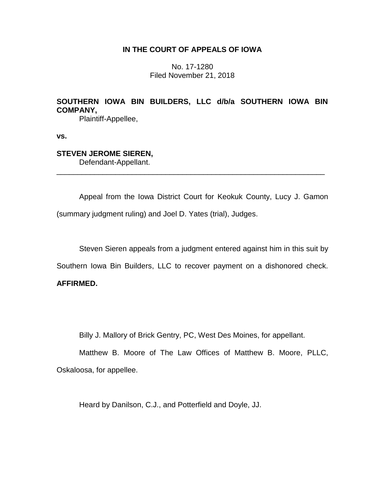## **IN THE COURT OF APPEALS OF IOWA**

No. 17-1280 Filed November 21, 2018

# **SOUTHERN IOWA BIN BUILDERS, LLC d/b/a SOUTHERN IOWA BIN COMPANY,**

Plaintiff-Appellee,

**vs.**

### **STEVEN JEROME SIEREN,**

Defendant-Appellant.

Appeal from the Iowa District Court for Keokuk County, Lucy J. Gamon (summary judgment ruling) and Joel D. Yates (trial), Judges.

\_\_\_\_\_\_\_\_\_\_\_\_\_\_\_\_\_\_\_\_\_\_\_\_\_\_\_\_\_\_\_\_\_\_\_\_\_\_\_\_\_\_\_\_\_\_\_\_\_\_\_\_\_\_\_\_\_\_\_\_\_\_\_\_

Steven Sieren appeals from a judgment entered against him in this suit by

Southern Iowa Bin Builders, LLC to recover payment on a dishonored check.

## **AFFIRMED.**

Billy J. Mallory of Brick Gentry, PC, West Des Moines, for appellant.

Matthew B. Moore of The Law Offices of Matthew B. Moore, PLLC, Oskaloosa, for appellee.

Heard by Danilson, C.J., and Potterfield and Doyle, JJ.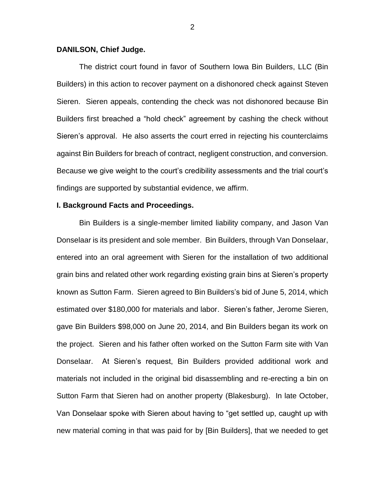#### **DANILSON, Chief Judge.**

The district court found in favor of Southern Iowa Bin Builders, LLC (Bin Builders) in this action to recover payment on a dishonored check against Steven Sieren. Sieren appeals, contending the check was not dishonored because Bin Builders first breached a "hold check" agreement by cashing the check without Sieren's approval. He also asserts the court erred in rejecting his counterclaims against Bin Builders for breach of contract, negligent construction, and conversion. Because we give weight to the court's credibility assessments and the trial court's findings are supported by substantial evidence, we affirm.

#### **I. Background Facts and Proceedings.**

Bin Builders is a single-member limited liability company, and Jason Van Donselaar is its president and sole member. Bin Builders, through Van Donselaar, entered into an oral agreement with Sieren for the installation of two additional grain bins and related other work regarding existing grain bins at Sieren's property known as Sutton Farm. Sieren agreed to Bin Builders's bid of June 5, 2014, which estimated over \$180,000 for materials and labor. Sieren's father, Jerome Sieren, gave Bin Builders \$98,000 on June 20, 2014, and Bin Builders began its work on the project. Sieren and his father often worked on the Sutton Farm site with Van Donselaar. At Sieren's request, Bin Builders provided additional work and materials not included in the original bid disassembling and re-erecting a bin on Sutton Farm that Sieren had on another property (Blakesburg). In late October, Van Donselaar spoke with Sieren about having to "get settled up, caught up with new material coming in that was paid for by [Bin Builders], that we needed to get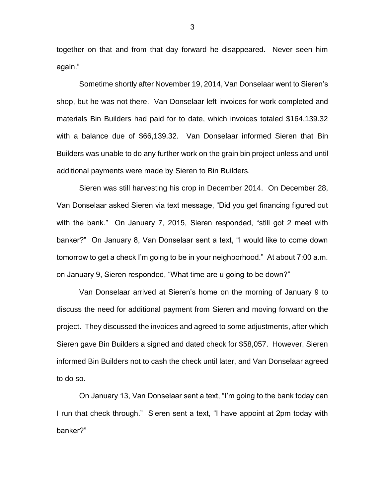together on that and from that day forward he disappeared. Never seen him again."

Sometime shortly after November 19, 2014, Van Donselaar went to Sieren's shop, but he was not there. Van Donselaar left invoices for work completed and materials Bin Builders had paid for to date, which invoices totaled \$164,139.32 with a balance due of \$66,139.32. Van Donselaar informed Sieren that Bin Builders was unable to do any further work on the grain bin project unless and until additional payments were made by Sieren to Bin Builders.

Sieren was still harvesting his crop in December 2014. On December 28, Van Donselaar asked Sieren via text message, "Did you get financing figured out with the bank." On January 7, 2015, Sieren responded, "still got 2 meet with banker?" On January 8, Van Donselaar sent a text, "I would like to come down tomorrow to get a check I'm going to be in your neighborhood." At about 7:00 a.m. on January 9, Sieren responded, "What time are u going to be down?"

Van Donselaar arrived at Sieren's home on the morning of January 9 to discuss the need for additional payment from Sieren and moving forward on the project. They discussed the invoices and agreed to some adjustments, after which Sieren gave Bin Builders a signed and dated check for \$58,057. However, Sieren informed Bin Builders not to cash the check until later, and Van Donselaar agreed to do so.

On January 13, Van Donselaar sent a text, "I'm going to the bank today can I run that check through." Sieren sent a text, "I have appoint at 2pm today with banker?"

3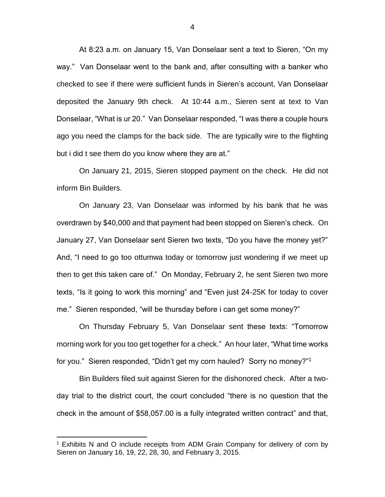At 8:23 a.m. on January 15, Van Donselaar sent a text to Sieren, "On my way." Van Donselaar went to the bank and, after consulting with a banker who checked to see if there were sufficient funds in Sieren's account, Van Donselaar deposited the January 9th check. At 10:44 a.m., Sieren sent at text to Van Donselaar, "What is ur 20." Van Donselaar responded, "I was there a couple hours ago you need the clamps for the back side. The are typically wire to the flighting but i did t see them do you know where they are at."

On January 21, 2015, Sieren stopped payment on the check. He did not inform Bin Builders.

On January 23, Van Donselaar was informed by his bank that he was overdrawn by \$40,000 and that payment had been stopped on Sieren's check. On January 27, Van Donselaar sent Sieren two texts, "Do you have the money yet?" And, "I need to go too ottumwa today or tomorrow just wondering if we meet up then to get this taken care of." On Monday, February 2, he sent Sieren two more texts, "Is it going to work this morning" and "Even just 24-25K for today to cover me." Sieren responded, "will be thursday before i can get some money?"

On Thursday February 5, Van Donselaar sent these texts: "Tomorrow morning work for you too get together for a check." An hour later, "What time works for you." Sieren responded, "Didn't get my corn hauled? Sorry no money?"<sup>1</sup>

Bin Builders filed suit against Sieren for the dishonored check. After a twoday trial to the district court, the court concluded "there is no question that the check in the amount of \$58,057.00 is a fully integrated written contract" and that,

<sup>&</sup>lt;sup>1</sup> Exhibits N and O include receipts from ADM Grain Company for delivery of corn by Sieren on January 16, 19, 22, 28, 30, and February 3, 2015.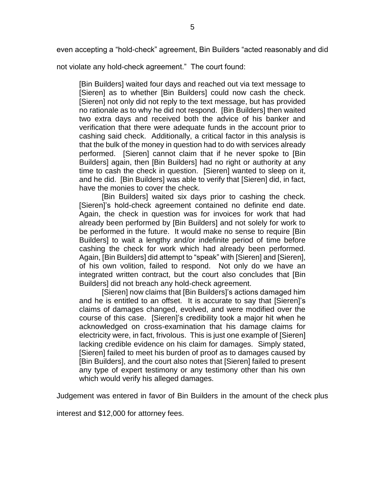even accepting a "hold-check" agreement, Bin Builders "acted reasonably and did

not violate any hold-check agreement." The court found:

[Bin Builders] waited four days and reached out via text message to [Sieren] as to whether [Bin Builders] could now cash the check. [Sieren] not only did not reply to the text message, but has provided no rationale as to why he did not respond. [Bin Builders] then waited two extra days and received both the advice of his banker and verification that there were adequate funds in the account prior to cashing said check. Additionally, a critical factor in this analysis is that the bulk of the money in question had to do with services already performed. [Sieren] cannot claim that if he never spoke to [Bin Builders] again, then [Bin Builders] had no right or authority at any time to cash the check in question. [Sieren] wanted to sleep on it, and he did. [Bin Builders] was able to verify that [Sieren] did, in fact, have the monies to cover the check.

[Bin Builders] waited six days prior to cashing the check. [Sieren]'s hold-check agreement contained no definite end date. Again, the check in question was for invoices for work that had already been performed by [Bin Builders] and not solely for work to be performed in the future. It would make no sense to require [Bin Builders] to wait a lengthy and/or indefinite period of time before cashing the check for work which had already been performed. Again, [Bin Builders] did attempt to "speak" with [Sieren] and [Sieren], of his own volition, failed to respond. Not only do we have an integrated written contract, but the court also concludes that [Bin Builders] did not breach any hold-check agreement.

[Sieren] now claims that [Bin Builders]'s actions damaged him and he is entitled to an offset. It is accurate to say that [Sieren]'s claims of damages changed, evolved, and were modified over the course of this case. [Sieren]'s credibility took a major hit when he acknowledged on cross-examination that his damage claims for electricity were, in fact, frivolous. This is just one example of [Sieren] lacking credible evidence on his claim for damages. Simply stated, [Sieren] failed to meet his burden of proof as to damages caused by [Bin Builders], and the court also notes that [Sieren] failed to present any type of expert testimony or any testimony other than his own which would verify his alleged damages.

Judgement was entered in favor of Bin Builders in the amount of the check plus

interest and \$12,000 for attorney fees.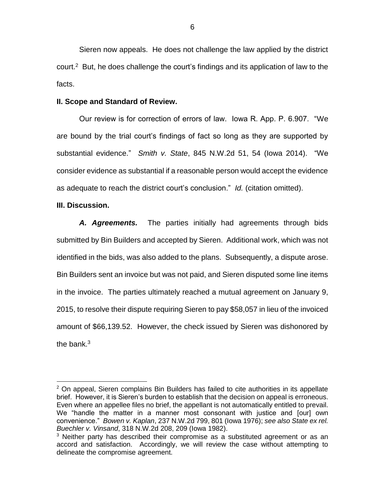Sieren now appeals. He does not challenge the law applied by the district court.<sup>2</sup> But, he does challenge the court's findings and its application of law to the facts.

#### **II. Scope and Standard of Review.**

Our review is for correction of errors of law. Iowa R. App. P. 6.907. "We are bound by the trial court's findings of fact so long as they are supported by substantial evidence." *Smith v. State*, 845 N.W.2d 51, 54 (Iowa 2014). "We consider evidence as substantial if a reasonable person would accept the evidence as adequate to reach the district court's conclusion." *Id.* (citation omitted).

#### **III. Discussion.**

 $\overline{a}$ 

*A. Agreements.* The parties initially had agreements through bids submitted by Bin Builders and accepted by Sieren. Additional work, which was not identified in the bids, was also added to the plans. Subsequently, a dispute arose. Bin Builders sent an invoice but was not paid, and Sieren disputed some line items in the invoice. The parties ultimately reached a mutual agreement on January 9, 2015, to resolve their dispute requiring Sieren to pay \$58,057 in lieu of the invoiced amount of \$66,139.52. However, the check issued by Sieren was dishonored by the bank $3$ 

 $2$  On appeal, Sieren complains Bin Builders has failed to cite authorities in its appellate brief. However, it is Sieren's burden to establish that the decision on appeal is erroneous. Even where an appellee files no brief, the appellant is not automatically entitled to prevail. We "handle the matter in a manner most consonant with justice and [our] own convenience." *Bowen v. Kaplan*, 237 N.W.2d 799, 801 (Iowa 1976); *see also State ex rel. Buechler v. Vinsand*, 318 N.W.2d 208, 209 (Iowa 1982).

 $3$  Neither party has described their compromise as a substituted agreement or as an accord and satisfaction. Accordingly, we will review the case without attempting to delineate the compromise agreement.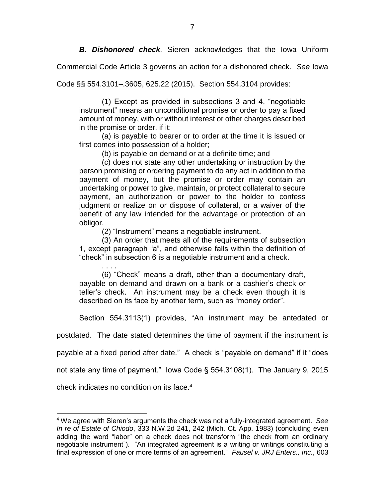*B. Dishonored check.* Sieren acknowledges that the Iowa Uniform

Commercial Code Article 3 governs an action for a dishonored check. *See* Iowa

Code §§ 554.3101–.3605, 625.22 (2015). Section 554.3104 provides:

(1) Except as provided in subsections 3 and 4, "negotiable instrument" means an unconditional promise or order to pay a fixed amount of money, with or without interest or other charges described in the promise or order, if it:

(a) is payable to bearer or to order at the time it is issued or first comes into possession of a holder;

(b) is payable on demand or at a definite time; and

(c) does not state any other undertaking or instruction by the person promising or ordering payment to do any act in addition to the payment of money, but the promise or order may contain an undertaking or power to give, maintain, or protect collateral to secure payment, an authorization or power to the holder to confess judgment or realize on or dispose of collateral, or a waiver of the benefit of any law intended for the advantage or protection of an obligor.

(2) "Instrument" means a negotiable instrument.

(3) An order that meets all of the requirements of subsection 1, except paragraph "a", and otherwise falls within the definition of "check" in subsection 6 is a negotiable instrument and a check.

. . . . (6) "Check" means a draft, other than a documentary draft, payable on demand and drawn on a bank or a cashier's check or teller's check. An instrument may be a check even though it is described on its face by another term, such as "money order".

Section 554.3113(1) provides, "An instrument may be antedated or

postdated. The date stated determines the time of payment if the instrument is

payable at a fixed period after date." A check is "payable on demand" if it "does

not state any time of payment." Iowa Code § 554.3108(1). The January 9, 2015

check indicates no condition on its face.<sup>4</sup>

<sup>4</sup> We agree with Sieren's arguments the check was not a fully-integrated agreement. *See In re of Estate of Chiodo*, 333 N.W.2d 241, 242 (Mich. Ct. App. 1983) (concluding even adding the word "labor" on a check does not transform "the check from an ordinary negotiable instrument"). "An integrated agreement is a writing or writings constituting a final expression of one or more terms of an agreement." *Fausel v. JRJ Enters., Inc.*, 603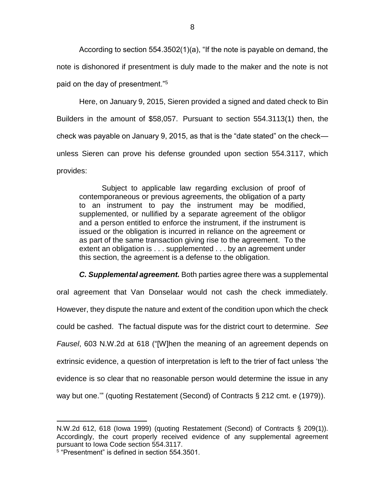According to section 554.3502(1)(a), "If the note is payable on demand, the note is dishonored if presentment is duly made to the maker and the note is not paid on the day of presentment."<sup>5</sup>

Here, on January 9, 2015, Sieren provided a signed and dated check to Bin Builders in the amount of \$58,057. Pursuant to section 554.3113(1) then, the check was payable on January 9, 2015, as that is the "date stated" on the check unless Sieren can prove his defense grounded upon section 554.3117, which provides:

Subject to applicable law regarding exclusion of proof of contemporaneous or previous agreements, the obligation of a party to an instrument to pay the instrument may be modified, supplemented, or nullified by a separate agreement of the obligor and a person entitled to enforce the instrument, if the instrument is issued or the obligation is incurred in reliance on the agreement or as part of the same transaction giving rise to the agreement. To the extent an obligation is . . . supplemented . . . by an agreement under this section, the agreement is a defense to the obligation.

*C. Supplemental agreement.* Both parties agree there was a supplemental

oral agreement that Van Donselaar would not cash the check immediately. However, they dispute the nature and extent of the condition upon which the check could be cashed. The factual dispute was for the district court to determine. *See Fausel*, 603 N.W.2d at 618 ("[W]hen the meaning of an agreement depends on extrinsic evidence, a question of interpretation is left to the trier of fact unless 'the evidence is so clear that no reasonable person would determine the issue in any way but one.'" (quoting Restatement (Second) of Contracts § 212 cmt. e (1979)).

N.W.2d 612, 618 (Iowa 1999) (quoting Restatement (Second) of Contracts § 209(1)). Accordingly, the court properly received evidence of any supplemental agreement pursuant to Iowa Code section 554.3117.

<sup>5</sup> "Presentment" is defined in section 554.3501.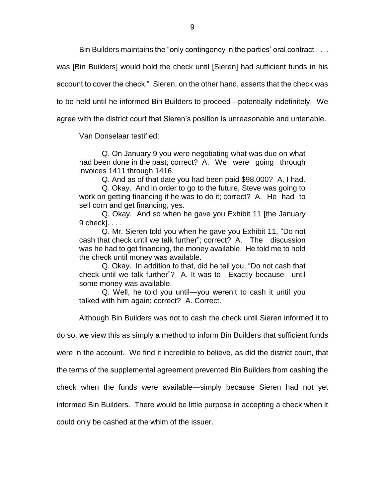Bin Builders maintains the "only contingency in the parties' oral contract . . .

was [Bin Builders] would hold the check until [Sieren] had sufficient funds in his

account to cover the check." Sieren, on the other hand, asserts that the check was

to be held until he informed Bin Builders to proceed—potentially indefinitely. We

agree with the district court that Sieren's position is unreasonable and untenable.

Van Donselaar testified:

Q. On January 9 you were negotiating what was due on what had been done in the past; correct? A. We were going through invoices 1411 through 1416.

Q. And as of that date you had been paid \$98,000? A. I had.

Q. Okay. And in order to go to the future, Steve was going to work on getting financing if he was to do it; correct? A. He had to sell corn and get financing, yes.

Q. Okay. And so when he gave you Exhibit 11 [the January 9 check]. . . .

Q. Mr. Sieren told you when he gave you Exhibit 11, "Do not cash that check until we talk further"; correct? A. The discussion was he had to get financing, the money available. He told me to hold the check until money was available.

Q. Okay. In addition to that, did he tell you, "Do not cash that check until we talk further"? A. It was to—Exactly because—until some money was available.

Q. Well, he told you until—you weren't to cash it until you talked with him again; correct? A. Correct.

Although Bin Builders was not to cash the check until Sieren informed it to

do so, we view this as simply a method to inform Bin Builders that sufficient funds

were in the account. We find it incredible to believe, as did the district court, that

the terms of the supplemental agreement prevented Bin Builders from cashing the

check when the funds were available—simply because Sieren had not yet

informed Bin Builders. There would be little purpose in accepting a check when it

could only be cashed at the whim of the issuer.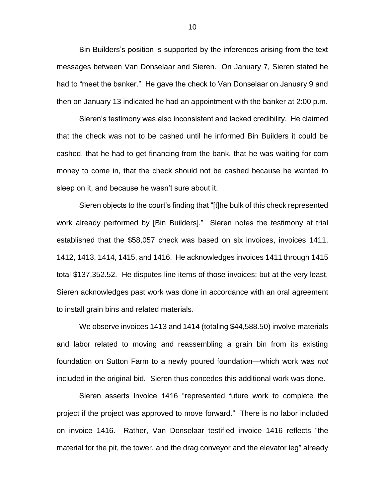Bin Builders's position is supported by the inferences arising from the text messages between Van Donselaar and Sieren. On January 7, Sieren stated he had to "meet the banker." He gave the check to Van Donselaar on January 9 and then on January 13 indicated he had an appointment with the banker at 2:00 p.m.

Sieren's testimony was also inconsistent and lacked credibility. He claimed that the check was not to be cashed until he informed Bin Builders it could be cashed, that he had to get financing from the bank, that he was waiting for corn money to come in, that the check should not be cashed because he wanted to sleep on it, and because he wasn't sure about it.

Sieren objects to the court's finding that "[t]he bulk of this check represented work already performed by [Bin Builders]." Sieren notes the testimony at trial established that the \$58,057 check was based on six invoices, invoices 1411, 1412, 1413, 1414, 1415, and 1416. He acknowledges invoices 1411 through 1415 total \$137,352.52. He disputes line items of those invoices; but at the very least, Sieren acknowledges past work was done in accordance with an oral agreement to install grain bins and related materials.

We observe invoices 1413 and 1414 (totaling \$44,588.50) involve materials and labor related to moving and reassembling a grain bin from its existing foundation on Sutton Farm to a newly poured foundation—which work was *not* included in the original bid. Sieren thus concedes this additional work was done.

Sieren asserts invoice 1416 "represented future work to complete the project if the project was approved to move forward." There is no labor included on invoice 1416. Rather, Van Donselaar testified invoice 1416 reflects "the material for the pit, the tower, and the drag conveyor and the elevator leg" already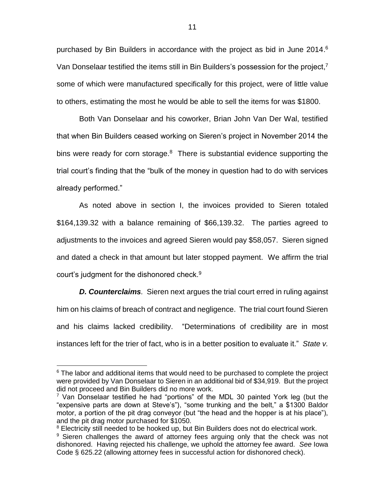purchased by Bin Builders in accordance with the project as bid in June 2014. 6 Van Donselaar testified the items still in Bin Builders's possession for the project, 7 some of which were manufactured specifically for this project, were of little value to others, estimating the most he would be able to sell the items for was \$1800.

Both Van Donselaar and his coworker, Brian John Van Der Wal, testified that when Bin Builders ceased working on Sieren's project in November 2014 the bins were ready for corn storage.<sup>8</sup> There is substantial evidence supporting the trial court's finding that the "bulk of the money in question had to do with services already performed."

As noted above in section I, the invoices provided to Sieren totaled \$164,139.32 with a balance remaining of \$66,139.32. The parties agreed to adjustments to the invoices and agreed Sieren would pay \$58,057. Sieren signed and dated a check in that amount but later stopped payment. We affirm the trial court's judgment for the dishonored check.<sup>9</sup>

*D. Counterclaims.* Sieren next argues the trial court erred in ruling against him on his claims of breach of contract and negligence. The trial court found Sieren and his claims lacked credibility. "Determinations of credibility are in most instances left for the trier of fact, who is in a better position to evaluate it." *State v.* 

 $6$  The labor and additional items that would need to be purchased to complete the project were provided by Van Donselaar to Sieren in an additional bid of \$34,919. But the project did not proceed and Bin Builders did no more work.

 $7$  Van Donselaar testified he had "portions" of the MDL 30 painted York leg (but the "expensive parts are down at Steve's"), "some trunking and the belt," a \$1300 Baldor motor, a portion of the pit drag conveyor (but "the head and the hopper is at his place"), and the pit drag motor purchased for \$1050.

<sup>&</sup>lt;sup>8</sup> Electricity still needed to be hooked up, but Bin Builders does not do electrical work.

<sup>&</sup>lt;sup>9</sup> Sieren challenges the award of attorney fees arguing only that the check was not dishonored. Having rejected his challenge, we uphold the attorney fee award. *See* Iowa Code § 625.22 (allowing attorney fees in successful action for dishonored check).